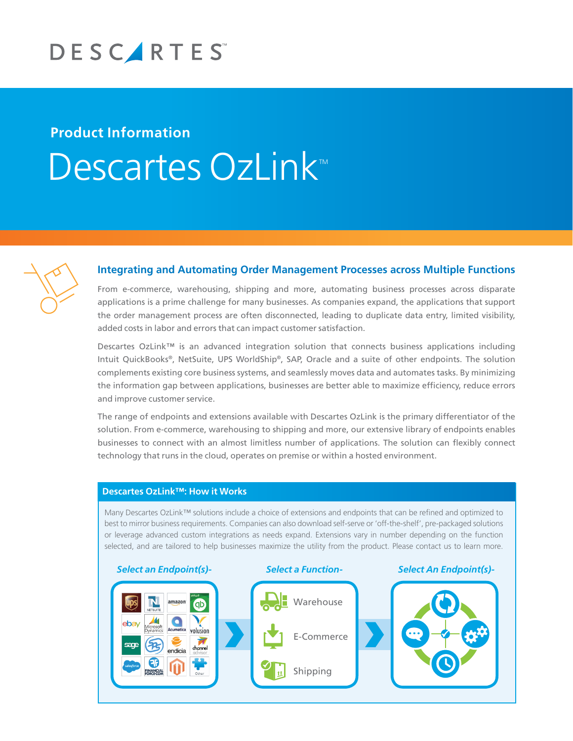

## **Product Information** Descartes OzLink



## **Integrating and Automating Order Management Processes across Multiple Functions**

From e-commerce, warehousing, shipping and more, automating business processes across disparate applications is a prime challenge for many businesses. As companies expand, the applications that support the order management process are often disconnected, leading to duplicate data entry, limited visibility, added costs in labor and errors that can impact customer satisfaction.

Descartes OzLink™ is an advanced integration solution that connects business applications including Intuit QuickBooks®, NetSuite, UPS WorldShip®, SAP, Oracle and a suite of other endpoints. The solution complements existing core business systems, and seamlessly moves data and automates tasks. By minimizing the information gap between applications, businesses are better able to maximize efficiency, reduce errors and improve customer service.

The range of endpoints and extensions available with Descartes OzLink is the primary differentiator of the solution. From e-commerce, warehousing to shipping and more, our extensive library of endpoints enables businesses to connect with an almost limitless number of applications. The solution can flexibly connect technology that runs in the cloud, operates on premise or within a hosted environment.

## **Descartes OzLink™: How it Works**

Many Descartes OzLink™ solutions include a choice of extensions and endpoints that can be refined and optimized to best to mirror business requirements. Companies can also download self-serve or 'off-the-shelf', pre-packaged solutions or leverage advanced custom integrations as needs expand. Extensions vary in number depending on the function selected, and are tailored to help businesses maximize the utility from the product. Please contact us to learn more.